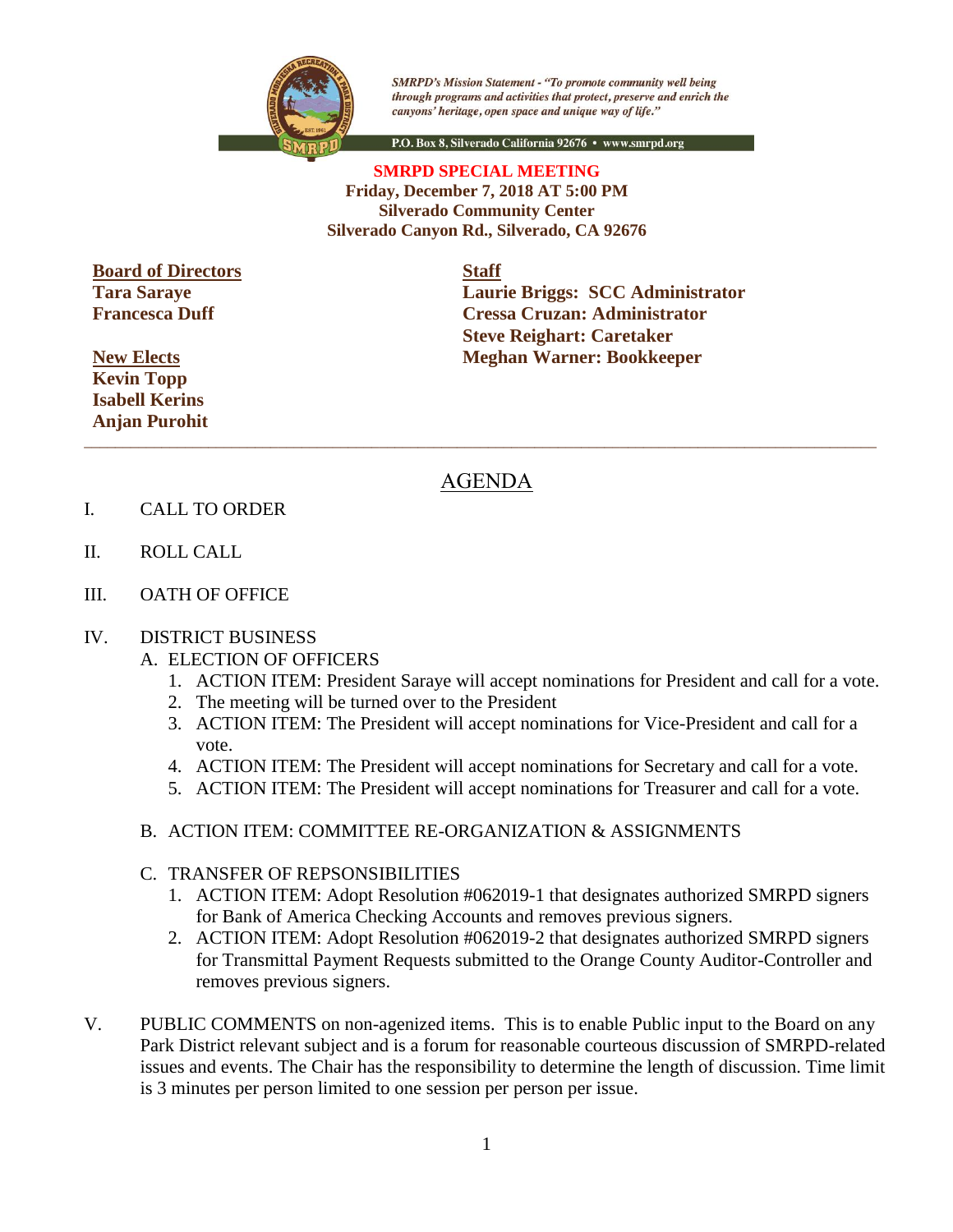

**SMRPD's Mission Statement - "To promote community well being** through programs and activities that protect, preserve and enrich the canyons' heritage, open space and unique way of life."

P.O. Box 8, Silverado California 92676 · www.smrpd.org

## **SMRPD SPECIAL MEETING Friday, December 7, 2018 AT 5:00 PM Silverado Community Center Silverado Canyon Rd., Silverado, CA 92676**

**Board of Directors Staff Tara Saraye Francesca Duff**

**New Elects Kevin Topp Isabell Kerins Anjan Purohit** **Laurie Briggs: SCC Administrator Cressa Cruzan: Administrator Steve Reighart: Caretaker Meghan Warner: Bookkeeper**

## AGENDA

\_\_\_\_\_\_\_\_\_\_\_\_\_\_\_\_\_\_\_\_\_\_\_\_\_\_\_\_\_\_\_\_\_\_\_\_\_\_\_\_\_\_\_\_\_\_\_\_\_\_\_\_\_\_\_\_\_\_\_\_\_\_\_\_\_\_\_\_\_\_\_\_\_\_\_\_\_\_\_\_\_\_\_\_\_\_\_\_\_\_\_\_\_\_\_\_\_\_\_\_\_\_

- I. CALL TO ORDER
- II. ROLL CALL
- III. OATH OF OFFICE

## IV. DISTRICT BUSINESS

- A. ELECTION OF OFFICERS
	- 1. ACTION ITEM: President Saraye will accept nominations for President and call for a vote.
	- 2. The meeting will be turned over to the President
	- 3. ACTION ITEM: The President will accept nominations for Vice-President and call for a vote.
	- 4. ACTION ITEM: The President will accept nominations for Secretary and call for a vote.
	- 5. ACTION ITEM: The President will accept nominations for Treasurer and call for a vote.
- B. ACTION ITEM: COMMITTEE RE-ORGANIZATION & ASSIGNMENTS
- C. TRANSFER OF REPSONSIBILITIES
	- 1. ACTION ITEM: Adopt Resolution #062019-1 that designates authorized SMRPD signers for Bank of America Checking Accounts and removes previous signers.
	- 2. ACTION ITEM: Adopt Resolution #062019-2 that designates authorized SMRPD signers for Transmittal Payment Requests submitted to the Orange County Auditor-Controller and removes previous signers.
- V. PUBLIC COMMENTS on non-agenized items. This is to enable Public input to the Board on any Park District relevant subject and is a forum for reasonable courteous discussion of SMRPD-related issues and events. The Chair has the responsibility to determine the length of discussion. Time limit is 3 minutes per person limited to one session per person per issue.